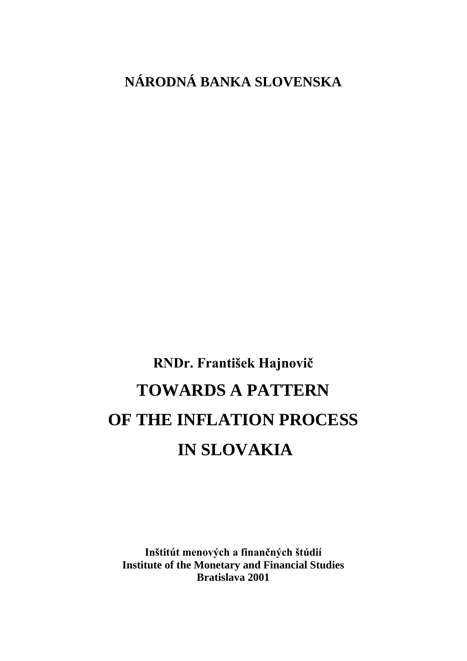# **NÁRODNÁ BANKA SLOVENSKA**

RNDr. František Hajnovič **TOWARDS A PATTERN OF THE INFLATION PROCESS IN SLOVAKIA**

Inštitút menových a finančných štúdií **Institute of the Monetary and Financial Studies Bratislava 2001**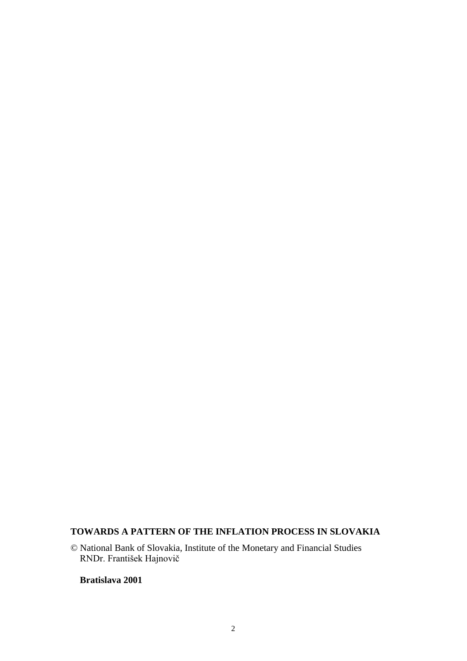# **TOWARDS A PATTERN OF THE INFLATION PROCESS IN SLOVAKIA**

© National Bank of Slovakia, Institute of the Monetary and Financial Studies RNDr. František Hajnovič

#### **Bratislava 2001**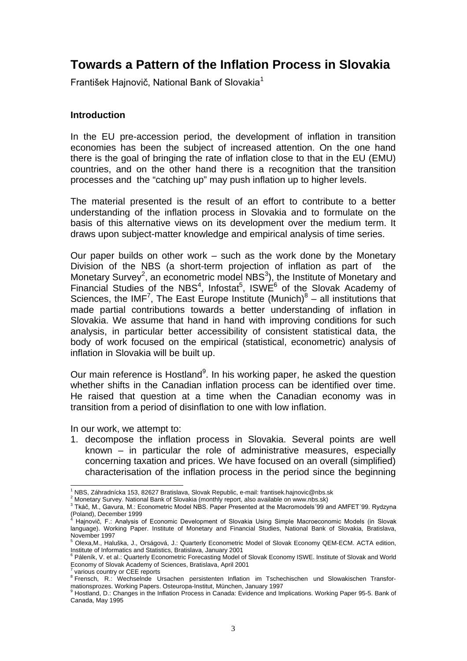# **Towards a Pattern of the Inflation Process in Slovakia**

František Hajnovič, National Bank of Slovakia<sup>1</sup>

#### **Introduction**

In the EU pre-accession period, the development of inflation in transition economies has been the subject of increased attention. On the one hand there is the goal of bringing the rate of inflation close to that in the EU (EMU) countries, and on the other hand there is a recognition that the transition processes and the "catching up" may push inflation up to higher levels.

The material presented is the result of an effort to contribute to a better understanding of the inflation process in Slovakia and to formulate on the basis of this alternative views on its development over the medium term. It draws upon subject-matter knowledge and empirical analysis of time series.

Our paper builds on other work – such as the work done by the Monetary Division of the NBS (a short-term projection of inflation as part of the Monetary Survey<sup>2</sup>, an econometric model NBS<sup>3</sup>), the Institute of Monetary and Financial Studies of the NBS<sup>4</sup>, Infostat<sup>5</sup>, ISWE<sup>6</sup> of the Slovak Academy of Sciences, the IMF<sup>7</sup>, The East Europe Institute (Munich) $8 -$  all institutions that made partial contributions towards a better understanding of inflation in Slovakia. We assume that hand in hand with improving conditions for such analysis, in particular better accessibility of consistent statistical data, the body of work focused on the empirical (statistical, econometric) analysis of inflation in Slovakia will be built up.

Our main reference is Hostland<sup>9</sup>. In his working paper, he asked the question whether shifts in the Canadian inflation process can be identified over time. He raised that question at a time when the Canadian economy was in transition from a period of disinflation to one with low inflation.

In our work, we attempt to:

1. decompose the inflation process in Slovakia. Several points are well known – in particular the role of administrative measures, especially concerning taxation and prices. We have focused on an overall (simplified) characterisation of the inflation process in the period since the beginning

 1 NBS, Záhradnícka 153, 82627 Bratislava, Slovak Republic, e-mail: frantisek.hajnovic@nbs.sk

<sup>&</sup>lt;sup>2</sup> Monetary Survey. National Bank of Slovakia (monthly report, also available on www.nbs.sk)

 $^3$  Tkáč, M., Gavura, M.: Econometric Model NBS. Paper Presented at the Macromodels 99 and AMFET 99. Rydzyna (Poland), December 1999 4

Hajnovič, F.: Analysis of Economic Development of Slovakia Using Simple Macroeconomic Models (in Slovak language). Working Paper. Institute of Monetary and Financial Studies, National Bank of Slovakia, Bratislava, November 1997<br><sup>5</sup> Oleve Mulbell

Olexa,M., Haluška, J., Orságová, J.: Quarterly Econometric Model of Slovak Economy QEM-ECM. ACTA edition, Institute of Informatics and Statistics, Bratislava, January 2001<br><sup>6</sup> Páleník, V. et al.: Quarterly Econometric Forecasting Model of Slovak Economy ISWE. Institute of Slovak and World

Economy of Slovak Academy of Sciences, Bratislava, April 2001

various country or CEE reports

<sup>8</sup> Frensch, R.: Wechselnde Ursachen persistenten Inflation im Tschechischen und Slowakischen Transformationsprozes. Working Papers. Osteuropa-Institut, München, January 1997<br><sup>9</sup> Hostland, D.: Changes in the Inflation Process in Canada: Evidence and Implications. Working Paper 95-5. Bank of

Canada, May 1995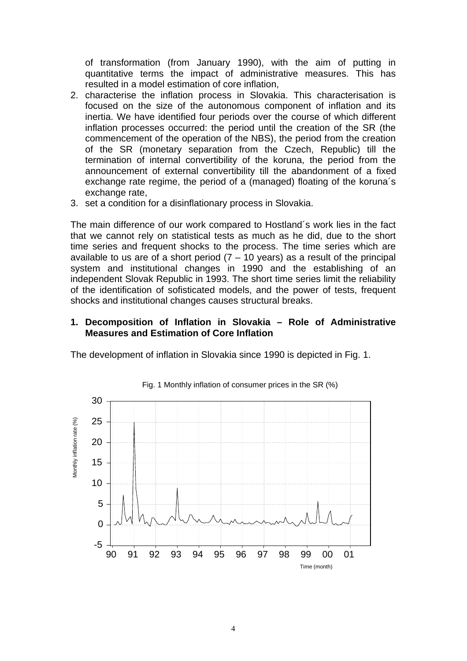of transformation (from January 1990), with the aim of putting in quantitative terms the impact of administrative measures. This has resulted in a model estimation of core inflation,

- 2. characterise the inflation process in Slovakia. This characterisation is focused on the size of the autonomous component of inflation and its inertia. We have identified four periods over the course of which different inflation processes occurred: the period until the creation of the SR (the commencement of the operation of the NBS), the period from the creation of the SR (monetary separation from the Czech, Republic) till the termination of internal convertibility of the koruna, the period from the announcement of external convertibility till the abandonment of a fixed exchange rate regime, the period of a (managed) floating of the koruna´s exchange rate,
- 3. set a condition for a disinflationary process in Slovakia.

The main difference of our work compared to Hostland´s work lies in the fact that we cannot rely on statistical tests as much as he did, due to the short time series and frequent shocks to the process. The time series which are available to us are of a short period  $(7 - 10 \text{ years})$  as a result of the principal system and institutional changes in 1990 and the establishing of an independent Slovak Republic in 1993. The short time series limit the reliability of the identification of sofisticated models, and the power of tests, frequent shocks and institutional changes causes structural breaks.

#### **1. Decomposition of Inflation in Slovakia – Role of Administrative Measures and Estimation of Core Inflation**

The development of inflation in Slovakia since 1990 is depicted in Fig. 1.



#### Fig. 1 Monthly inflation of consumer prices in the SR (%)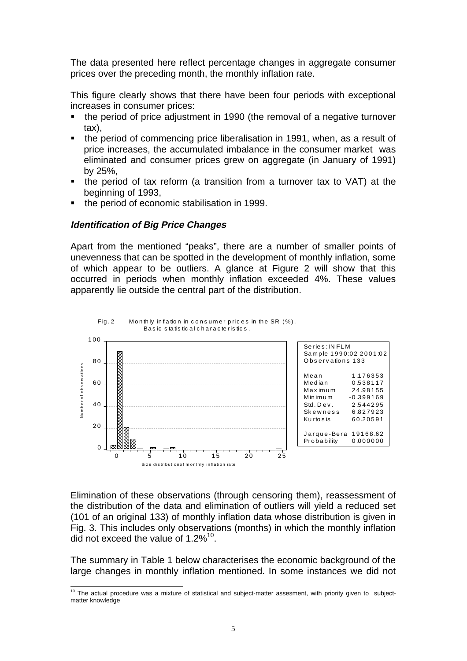The data presented here reflect percentage changes in aggregate consumer prices over the preceding month, the monthly inflation rate.

This figure clearly shows that there have been four periods with exceptional increases in consumer prices:

- the period of price adjustment in 1990 (the removal of a negative turnover tax),
- the period of commencing price liberalisation in 1991, when, as a result of price increases, the accumulated imbalance in the consumer market was eliminated and consumer prices grew on aggregate (in January of 1991) by 25%,
- the period of tax reform (a transition from a turnover tax to VAT) at the beginning of 1993,
- the period of economic stabilisation in 1999.

#### **Identification of Big Price Changes**

 $\overline{a}$ 

Apart from the mentioned "peaks", there are a number of smaller points of unevenness that can be spotted in the development of monthly inflation, some of which appear to be outliers. A glance at Figure 2 will show that this occurred in periods when monthly inflation exceeded 4%. These values apparently lie outside the central part of the distribution.



Elimination of these observations (through censoring them), reassessment of the distribution of the data and elimination of outliers will yield a reduced set (101 of an original 133) of monthly inflation data whose distribution is given in Fig. 3. This includes only observations (months) in which the monthly inflation did not exceed the value of 1.2%<sup>10</sup>.

The summary in Table 1 below characterises the economic background of the large changes in monthly inflation mentioned. In some instances we did not

 $10$  The actual procedure was a mixture of statistical and subject-matter assesment, with priority given to subjectmatter knowledge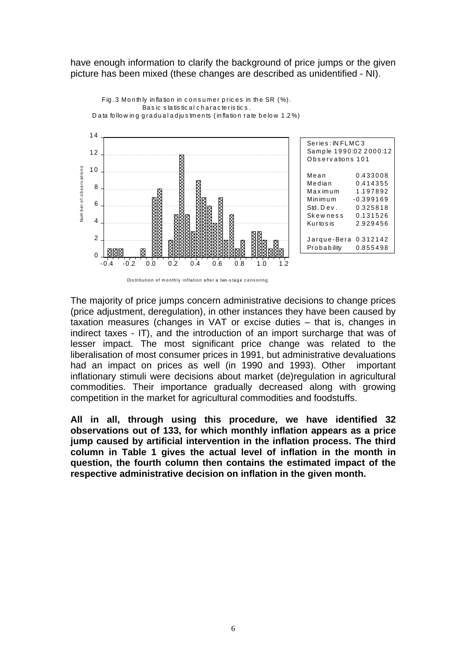have enough information to clarify the background of price jumps or the given picture has been mixed (these changes are described as unidentified - NI).





The majority of price jumps concern administrative decisions to change prices (price adjustment, deregulation), in other instances they have been caused by taxation measures (changes in VAT or excise duties – that is, changes in indirect taxes - IT), and the introduction of an import surcharge that was of lesser impact. The most significant price change was related to the liberalisation of most consumer prices in 1991, but administrative devaluations had an impact on prices as well (in 1990 and 1993). Other important inflationary stimuli were decisions about market (de)regulation in agricultural commodities. Their importance gradually decreased along with growing competition in the market for agricultural commodities and foodstuffs.

**All in all, through using this procedure, we have identified 32 observations out of 133, for which monthly inflation appears as a price jump caused by artificial intervention in the inflation process. The third column in Table 1 gives the actual level of inflation in the month in question, the fourth column then contains the estimated impact of the respective administrative decision on inflation in the given month.**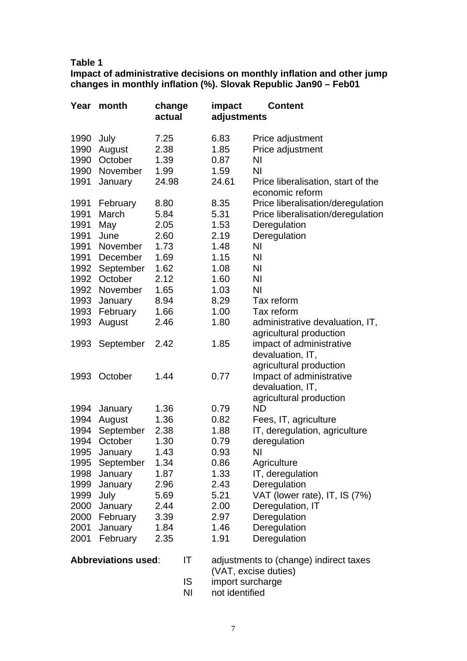#### **Table 1**

**Impact of administrative decisions on monthly inflation and other jump changes in monthly inflation (%). Slovak Republic Jan90 – Feb01**

| Year                       | month     | change<br>actual |                                        | impact<br>adjustments | <b>Content</b>                                        |
|----------------------------|-----------|------------------|----------------------------------------|-----------------------|-------------------------------------------------------|
| 1990                       | July      | 7.25             |                                        | 6.83                  | Price adjustment                                      |
| 1990                       | August    | 2.38             |                                        | 1.85                  | Price adjustment                                      |
| 1990                       | October   | 1.39             |                                        | 0.87                  | NI                                                    |
| 1990                       | November  | 1.99             |                                        | 1.59                  | <b>NI</b>                                             |
| 1991                       | January   | 24.98            |                                        | 24.61                 | Price liberalisation, start of the<br>economic reform |
| 1991                       | February  | 8.80             |                                        | 8.35                  | Price liberalisation/deregulation                     |
| 1991                       | March     | 5.84             |                                        | 5.31                  | Price liberalisation/deregulation                     |
| 1991                       | May       | 2.05             |                                        | 1.53                  | Deregulation                                          |
| 1991                       | June      | 2.60             |                                        | 2.19                  | Deregulation                                          |
| 1991                       | November  | 1.73             |                                        | 1.48                  | N <sub>1</sub>                                        |
| 1991                       | December  | 1.69             |                                        | 1.15                  | <b>NI</b>                                             |
| 1992                       | September | 1.62             |                                        | 1.08                  | ΝI                                                    |
| 1992                       | October   | 2.12             |                                        | 1.60                  | <b>NI</b>                                             |
| 1992                       | November  | 1.65             |                                        | 1.03                  | <b>NI</b>                                             |
| 1993                       | January   | 8.94             |                                        | 8.29                  | Tax reform                                            |
| 1993                       | February  | 1.66             |                                        | 1.00                  | Tax reform                                            |
| 1993                       | August    | 2.46             |                                        | 1.80                  | administrative devaluation, IT,                       |
|                            |           |                  |                                        |                       | agricultural production                               |
| 1993                       | September | 2.42             |                                        | 1.85                  | impact of administrative                              |
|                            |           |                  |                                        |                       | devaluation, IT,                                      |
|                            |           |                  |                                        |                       | agricultural production                               |
| 1993                       | October   | 1.44             |                                        | 0.77                  | Impact of administrative                              |
|                            |           |                  |                                        |                       | devaluation, IT,                                      |
|                            |           |                  |                                        |                       | agricultural production                               |
| 1994                       | January   | 1.36             |                                        | 0.79                  | <b>ND</b>                                             |
| 1994                       | August    | 1.36             |                                        | 0.82                  | Fees, IT, agriculture                                 |
| 1994                       | September | 2.38             |                                        | 1.88                  | IT, deregulation, agriculture                         |
| 1994                       | October   | 1.30             |                                        | 0.79                  | deregulation                                          |
| 1995                       | January   | 1.43             |                                        | 0.93                  | NI                                                    |
| 1995                       | September | 1.34             |                                        | 0.86                  | Agriculture                                           |
| 1998                       | January   | 1.87             |                                        | 1.33                  | IT, deregulation                                      |
| 1999                       | January   | 2.96             |                                        | 2.43                  | Deregulation                                          |
| 1999                       | July      | 5.69             |                                        | 5.21                  | VAT (lower rate), IT, IS (7%)                         |
| 2000                       | January   | 2.44             |                                        | 2.00                  | Deregulation, IT                                      |
| 2000                       | February  | 3.39             |                                        | 2.97                  | Deregulation                                          |
| 2001                       | January   | 1.84             |                                        | 1.46                  | Deregulation                                          |
| 2001                       | February  | 2.35             |                                        | 1.91                  | Deregulation                                          |
| <b>Abbreviations used:</b> |           | IT               | adjustments to (change) indirect taxes |                       |                                                       |

- (VAT, excise duties) IS import surcharge
- 
- NI not identified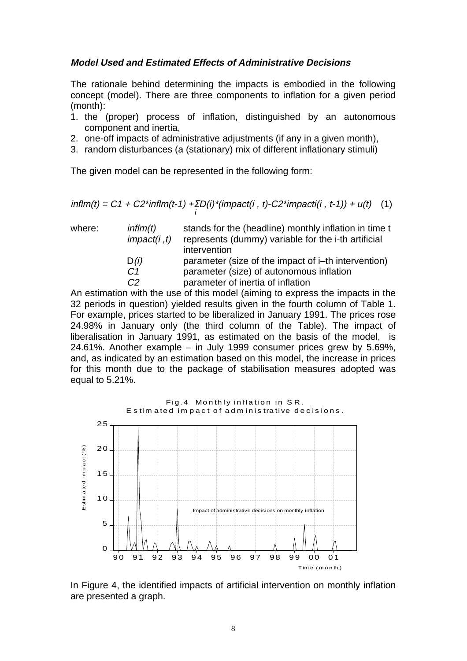# **Model Used and Estimated Effects of Administrative Decisions**

The rationale behind determining the impacts is embodied in the following concept (model). There are three components to inflation for a given period (month):

- 1. the (proper) process of inflation, distinguished by an autonomous component and inertia,
- 2. one-off impacts of administrative adjustments (if any in a given month),
- 3. random disturbances (a (stationary) mix of different inflationary stimuli)

The given model can be represented in the following form:

$$
inflm(t) = C1 + C2^{*}inflm(t-1) + \sum_{i} D(i)^{*}(impact(i, t) - C2^{*}impact(i, t-1)) + u(t) \quad (1)
$$

| where: | inffm(t)<br>impact(i, t) | stands for the (headline) monthly inflation in time t<br>represents (dummy) variable for the i-th artificial |  |  |
|--------|--------------------------|--------------------------------------------------------------------------------------------------------------|--|--|
|        |                          | intervention                                                                                                 |  |  |
|        | D(i)                     | parameter (size of the impact of i-th intervention)                                                          |  |  |
|        | C <sub>1</sub>           | parameter (size) of autonomous inflation                                                                     |  |  |
|        | C2                       | parameter of inertia of inflation                                                                            |  |  |

An estimation with the use of this model (aiming to express the impacts in the 32 periods in question) yielded results given in the fourth column of Table 1. For example, prices started to be liberalized in January 1991. The prices rose 24.98% in January only (the third column of the Table). The impact of liberalisation in January 1991, as estimated on the basis of the model, is 24.61%. Another example – in July 1999 consumer prices grew by 5.69%, and, as indicated by an estimation based on this model, the increase in prices for this month due to the package of stabilisation measures adopted was equal to 5.21%.



In Figure 4, the identified impacts of artificial intervention on monthly inflation are presented a graph.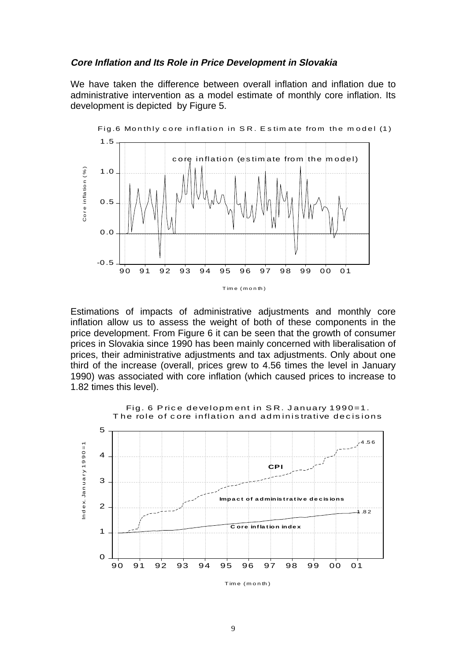#### **Core Inflation and Its Role in Price Development in Slovakia**

We have taken the difference between overall inflation and inflation due to administrative intervention as a model estimate of monthly core inflation. Its development is depicted by Figure 5.



Estimations of impacts of administrative adjustments and monthly core inflation allow us to assess the weight of both of these components in the price development. From Figure 6 it can be seen that the growth of consumer prices in Slovakia since 1990 has been mainly concerned with liberalisation of prices, their administrative adjustments and tax adjustments. Only about one third of the increase (overall, prices grew to 4.56 times the level in January 1990) was associated with core inflation (which caused prices to increase to 1.82 times this level).



Tim e ( m o n th )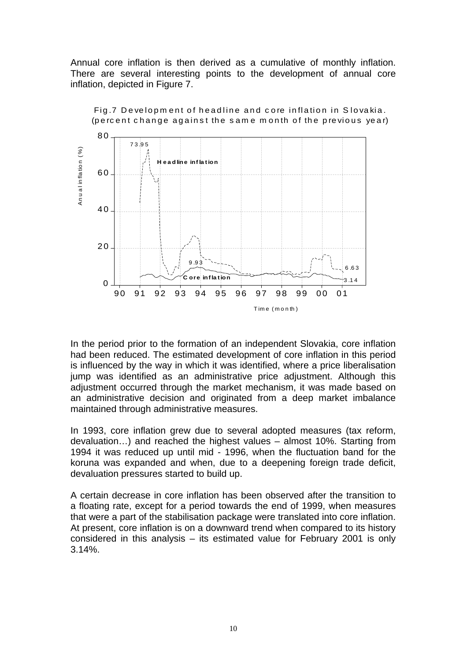Annual core inflation is then derived as a cumulative of monthly inflation. There are several interesting points to the development of annual core inflation, depicted in Figure 7.



Fig. 7 Development of headline and core inflation in Slovakia. (percent change against the same month of the previous year)

In the period prior to the formation of an independent Slovakia, core inflation had been reduced. The estimated development of core inflation in this period is influenced by the way in which it was identified, where a price liberalisation jump was identified as an administrative price adjustment. Although this adjustment occurred through the market mechanism, it was made based on an administrative decision and originated from a deep market imbalance maintained through administrative measures.

In 1993, core inflation grew due to several adopted measures (tax reform, devaluation…) and reached the highest values – almost 10%. Starting from 1994 it was reduced up until mid - 1996, when the fluctuation band for the koruna was expanded and when, due to a deepening foreign trade deficit, devaluation pressures started to build up.

A certain decrease in core inflation has been observed after the transition to a floating rate, except for a period towards the end of 1999, when measures that were a part of the stabilisation package were translated into core inflation. At present, core inflation is on a downward trend when compared to its history considered in this analysis – its estimated value for February 2001 is only 3.14%.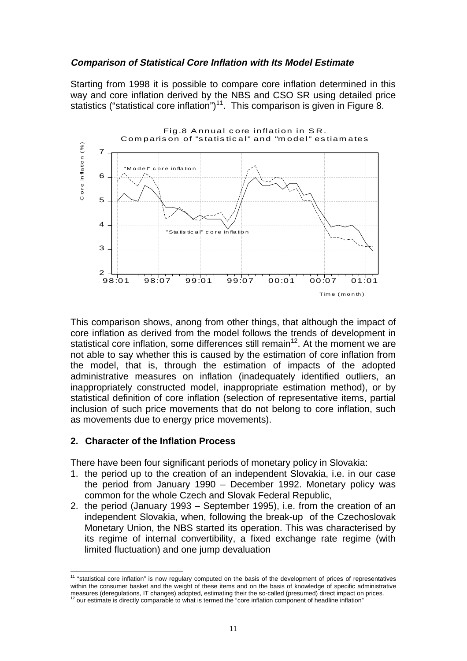# **Comparison of Statistical Core Inflation with Its Model Estimate**

Starting from 1998 it is possible to compare core inflation determined in this way and core inflation derived by the NBS and CSO SR using detailed price statistics ("statistical core inflation")<sup>11</sup>. This comparison is given in Figure 8.



This comparison shows, anong from other things, that although the impact of core inflation as derived from the model follows the trends of development in statistical core inflation, some differences still remain<sup>12</sup>. At the moment we are not able to say whether this is caused by the estimation of core inflation from the model, that is, through the estimation of impacts of the adopted administrative measures on inflation (inadequately identified outliers, an inappropriately constructed model, inappropriate estimation method), or by statistical definition of core inflation (selection of representative items, partial inclusion of such price movements that do not belong to core inflation, such as movements due to energy price movements).

#### **2. Character of the Inflation Process**

 $\overline{a}$ 

There have been four significant periods of monetary policy in Slovakia:

- 1. the period up to the creation of an independent Slovakia, i.e. in our case the period from January 1990 – December 1992. Monetary policy was common for the whole Czech and Slovak Federal Republic,
- 2. the period (January 1993 September 1995), i.e. from the creation of an independent Slovakia, when, following the break-up of the Czechoslovak Monetary Union, the NBS started its operation. This was characterised by its regime of internal convertibility, a fixed exchange rate regime (with limited fluctuation) and one jump devaluation

 $11$  "statistical core inflation" is now regulary computed on the basis of the development of prices of representatives within the consumer basket and the weight of these items and on the basis of knowledge of specific administrative measures (deregulations, IT changes) adopted, estimating their the so-called (presumed) direct impact on prices.<br><sup>12</sup> our estimate is directly comparable to what is termed the "core inflation component of headline inflatio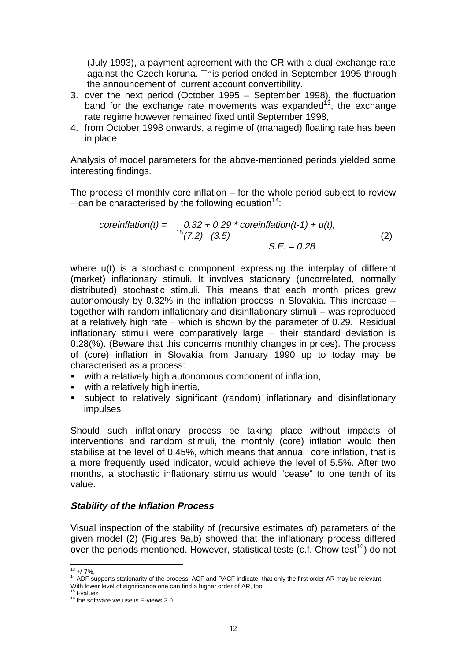(July 1993), a payment agreement with the CR with a dual exchange rate against the Czech koruna. This period ended in September 1995 through the announcement of current account convertibility.

- 3. over the next period (October 1995 September 1998), the fluctuation band for the exchange rate movements was expanded<sup>13</sup>, the exchange rate regime however remained fixed until September 1998,
- 4. from October 1998 onwards, a regime of (managed) floating rate has been in place

Analysis of model parameters for the above-mentioned periods yielded some interesting findings.

The process of monthly core inflation – for the whole period subject to review – can be characterised by the following equation<sup>14</sup>:

$$
coreinflation(t) = 0.32 + 0.29 * coreinflation(t-1) + u(t),
$$
  
\n
$$
^{15}(7.2) (3.5)
$$
  
\nS.E. = 0.28 (2)

where u(t) is a stochastic component expressing the interplay of different (market) inflationary stimuli. It involves stationary (uncorrelated, normally distributed) stochastic stimuli. This means that each month prices grew autonomously by 0.32% in the inflation process in Slovakia. This increase – together with random inflationary and disinflationary stimuli – was reproduced at a relatively high rate – which is shown by the parameter of 0.29. Residual inflationary stimuli were comparatively large – their standard deviation is 0.28(%). (Beware that this concerns monthly changes in prices). The process of (core) inflation in Slovakia from January 1990 up to today may be characterised as a process:

- with a relatively high autonomous component of inflation,
- **with a relatively high inertia.**
- subject to relatively significant (random) inflationary and disinflationary impulses

Should such inflationary process be taking place without impacts of interventions and random stimuli, the monthly (core) inflation would then stabilise at the level of 0.45%, which means that annual core inflation, that is a more frequently used indicator, would achieve the level of 5.5%. After two months, a stochastic inflationary stimulus would "cease" to one tenth of its value.

# **Stability of the Inflation Process**

Visual inspection of the stability of (recursive estimates of) parameters of the given model (2) (Figures 9a,b) showed that the inflationary process differed over the periods mentioned. However, statistical tests (c.f. Chow test<sup>16</sup>) do not

 $13 + 7\%$ ,

<sup>&</sup>lt;sup>14</sup> ADF supports stationarity of the process. ACF and PACF indicate, that only the first order AR may be relevant. With lower level of significance one can find a higher order of AR, too <sup>15</sup> t-values

 $16$  the software we use is E-views 3.0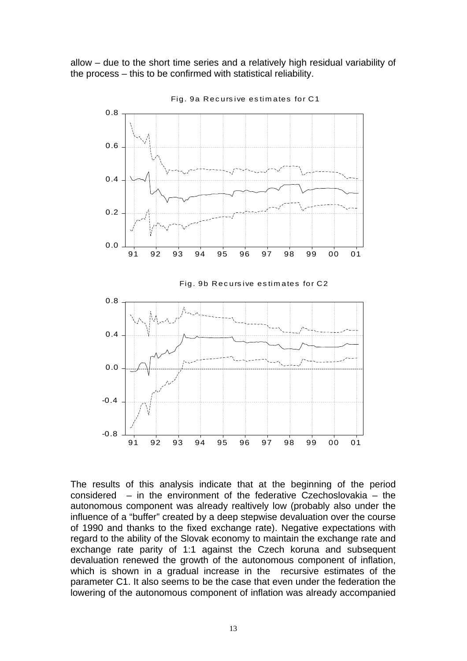allow – due to the short time series and a relatively high residual variability of the process – this to be confirmed with statistical reliability.



Fig. 9a Rec urs ive es tim ates for C1

The results of this analysis indicate that at the beginning of the period considered – in the environment of the federative Czechoslovakia – the autonomous component was already realtively low (probably also under the influence of a "buffer" created by a deep stepwise devaluation over the course of 1990 and thanks to the fixed exchange rate). Negative expectations with regard to the ability of the Slovak economy to maintain the exchange rate and exchange rate parity of 1:1 against the Czech koruna and subsequent devaluation renewed the growth of the autonomous component of inflation, which is shown in a gradual increase in the recursive estimates of the parameter C1. It also seems to be the case that even under the federation the lowering of the autonomous component of inflation was already accompanied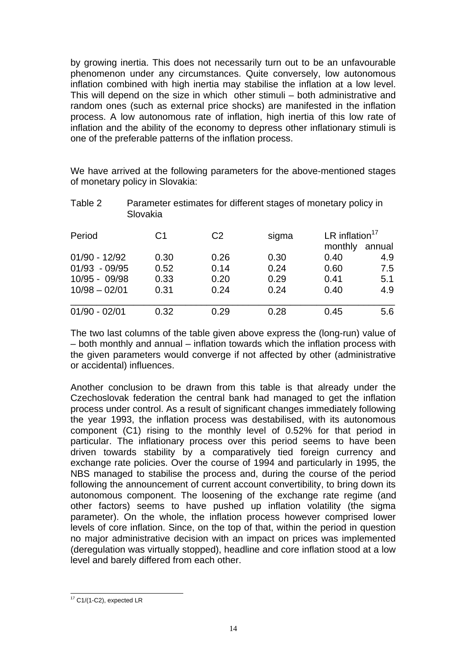by growing inertia. This does not necessarily turn out to be an unfavourable phenomenon under any circumstances. Quite conversely, low autonomous inflation combined with high inertia may stabilise the inflation at a low level. This will depend on the size in which other stimuli – both administrative and random ones (such as external price shocks) are manifested in the inflation process. A low autonomous rate of inflation, high inertia of this low rate of inflation and the ability of the economy to depress other inflationary stimuli is one of the preferable patterns of the inflation process.

We have arrived at the following parameters for the above-mentioned stages of monetary policy in Slovakia:

| Table 2                            | Parameter estimates for different stages of monetary policy in<br>Slovakia |                |              |                              |            |  |  |  |  |
|------------------------------------|----------------------------------------------------------------------------|----------------|--------------|------------------------------|------------|--|--|--|--|
| Period                             | C <sub>1</sub>                                                             | C <sub>2</sub> | sigma        | LR inflation $17$<br>monthly | annual     |  |  |  |  |
| $01/90 - 12/92$<br>$01/93 - 09/95$ | 0.30<br>0.52                                                               | 0.26<br>0.14   | 0.30<br>0.24 | 0.40<br>0.60                 | 4.9<br>7.5 |  |  |  |  |
| 10/95 - 09/98                      | 0.33                                                                       | 0.20           | 0.29         | 0.41                         | 5.1        |  |  |  |  |
| $10/98 - 02/01$                    | 0.31                                                                       | 0.24           | 0.24         | 0.40                         | 4.9        |  |  |  |  |
| $01/90 - 02/01$                    | 0.32                                                                       | 0.29           | 0.28         | 0.45                         | 5.6        |  |  |  |  |

The two last columns of the table given above express the (long-run) value of – both monthly and annual – inflation towards which the inflation process with the given parameters would converge if not affected by other (administrative or accidental) influences.

Another conclusion to be drawn from this table is that already under the Czechoslovak federation the central bank had managed to get the inflation process under control. As a result of significant changes immediately following the year 1993, the inflation process was destabilised, with its autonomous component (C1) rising to the monthly level of 0.52% for that period in particular. The inflationary process over this period seems to have been driven towards stability by a comparatively tied foreign currency and exchange rate policies. Over the course of 1994 and particularly in 1995, the NBS managed to stabilise the process and, during the course of the period following the announcement of current account convertibility, to bring down its autonomous component. The loosening of the exchange rate regime (and other factors) seems to have pushed up inflation volatility (the sigma parameter). On the whole, the inflation process however comprised lower levels of core inflation. Since, on the top of that, within the period in question no major administrative decision with an impact on prices was implemented (deregulation was virtually stopped), headline and core inflation stood at a low level and barely differed from each other.

<sup>-</sup> $17$  C1/(1-C2), expected LR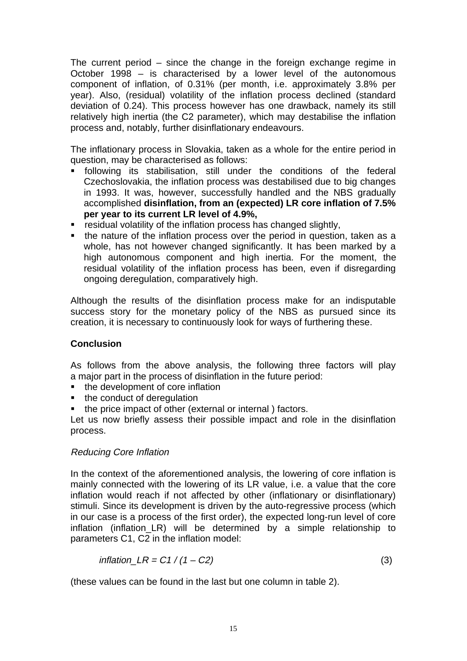The current period – since the change in the foreign exchange regime in October 1998 – is characterised by a lower level of the autonomous component of inflation, of 0.31% (per month, i.e. approximately 3.8% per year). Also, (residual) volatility of the inflation process declined (standard deviation of 0.24). This process however has one drawback, namely its still relatively high inertia (the C2 parameter), which may destabilise the inflation process and, notably, further disinflationary endeavours.

The inflationary process in Slovakia, taken as a whole for the entire period in question, may be characterised as follows:

- following its stabilisation, still under the conditions of the federal Czechoslovakia, the inflation process was destabilised due to big changes in 1993. It was, however, successfully handled and the NBS gradually accomplished **disinflation, from an (expected) LR core inflation of 7.5% per year to its current LR level of 4.9%,**
- **F** residual volatility of the inflation process has changed slightly,
- the nature of the inflation process over the period in question, taken as a whole, has not however changed significantly. It has been marked by a high autonomous component and high inertia. For the moment, the residual volatility of the inflation process has been, even if disregarding ongoing deregulation, comparatively high.

Although the results of the disinflation process make for an indisputable success story for the monetary policy of the NBS as pursued since its creation, it is necessary to continuously look for ways of furthering these.

# **Conclusion**

As follows from the above analysis, the following three factors will play a major part in the process of disinflation in the future period:

- the development of core inflation
- the conduct of deregulation
- the price impact of other (external or internal) factors.

Let us now briefly assess their possible impact and role in the disinflation process.

# Reducing Core Inflation

In the context of the aforementioned analysis, the lowering of core inflation is mainly connected with the lowering of its LR value, i.e. a value that the core inflation would reach if not affected by other (inflationary or disinflationary) stimuli. Since its development is driven by the auto-regressive process (which in our case is a process of the first order), the expected long-run level of core inflation (inflation\_LR) will be determined by a simple relationship to parameters C1, C2 in the inflation model:

$$
inflation\_LR = C1 / (1 - C2)
$$
 (3)

(these values can be found in the last but one column in table 2).